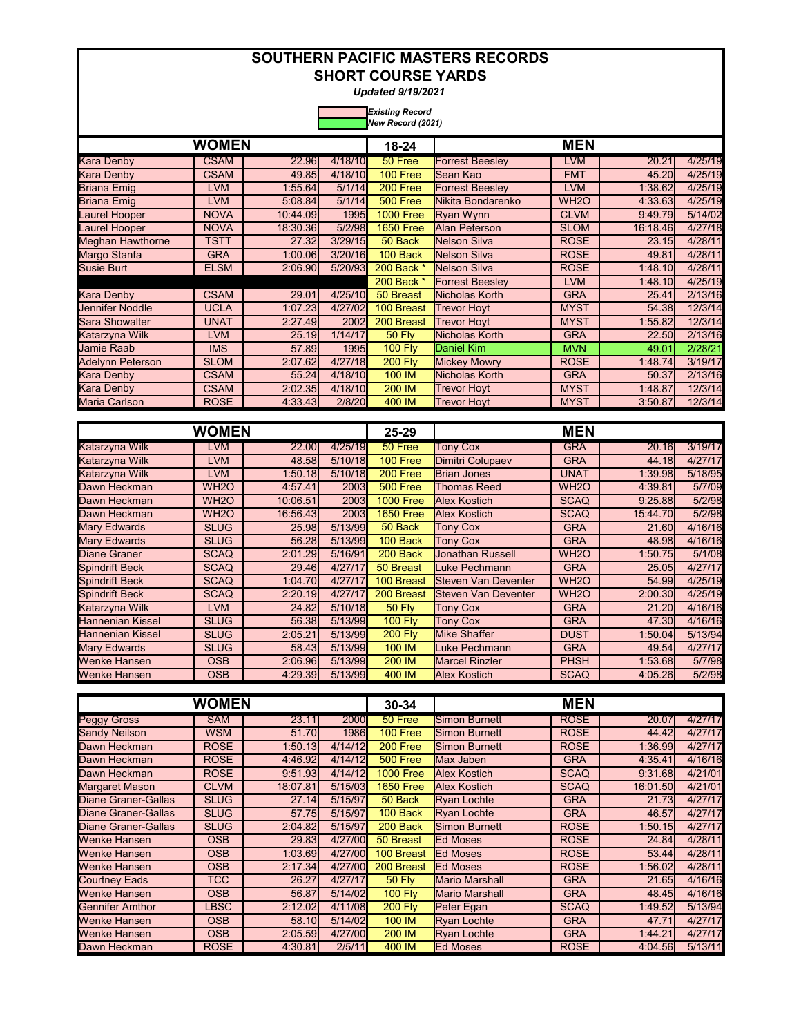*Updated 9/19/2021* 

|                         | <b>WOMEN</b> |              |         |                  |                        | <b>MEN</b>        |              |         |
|-------------------------|--------------|--------------|---------|------------------|------------------------|-------------------|--------------|---------|
|                         |              |              |         | $18 - 24$        |                        |                   |              |         |
| <b>Kara Denby</b>       | <b>CSAM</b>  | <b>22.96</b> | 4/18/10 | 50 Free          | <b>Forrest Beesley</b> | <b>LVM</b>        | 20.21        | 4/25/19 |
| Kara Denby              | <b>CSAM</b>  | 49.85        | 4/18/10 | 100 Free         | Sean Kao               | <b>FMT</b>        | 45.20        | 4/25/19 |
| <b>Briana Emig</b>      | <b>LVM</b>   | 1:55.64      | 5/1/14  | 200 Free         | <b>Forrest Beesley</b> | <b>LVM</b>        | 1:38.62      | 4/25/19 |
| <b>Briana Emig</b>      | <b>LVM</b>   | 5:08.84      | 5/1/14  | <b>500 Free</b>  | Nikita Bondarenko      | WH <sub>2</sub> O | 4:33.63      | 4/25/19 |
| <b>Laurel Hooper</b>    | <b>NOVA</b>  | 10:44.09     | 1995    | <b>1000 Free</b> | <b>Ryan Wynn</b>       | <b>CLVM</b>       | 9:49.79      | 5/14/02 |
| <b>Laurel Hooper</b>    | <b>NOVA</b>  | 18:30.36l    | 5/2/98  | <b>1650 Free</b> | Alan Peterson          | <b>SLOM</b>       | 16:18.46     | 4/27/18 |
| <b>Meghan Hawthorne</b> | <b>TSTT</b>  | 27.32        | 3/29/15 | 50 Back          | Nelson Silva           | <b>ROSE</b>       | <b>23.15</b> | 4/28/11 |
| Margo Stanfa            | <b>GRA</b>   | 1:00.06      | 3/20/16 | 100 Back         | Nelson Silva           | <b>ROSE</b>       | 49.81        | 4/28/11 |
| <b>Susie Burt</b>       | <b>ELSM</b>  | 2:06.90      | 5/20/93 | 200 Back *       | Nelson Silva           | <b>ROSE</b>       | 1:48.10      | 4/28/11 |
|                         |              |              |         | 200 Back *       | <b>Forrest Beeslev</b> | <b>LVM</b>        | 1:48.10      | 4/25/19 |
| Kara Denby              | <b>CSAM</b>  | 29.01        | 4/25/10 | 50 Breast        | Nicholas Korth         | <b>GRA</b>        | 25.41        | 2/13/16 |
| <b>Jennifer Noddle</b>  | <b>UCLA</b>  | 1:07.23      | 4/27/02 | 100 Breast       | <b>Trevor Hoyt</b>     | <b>MYST</b>       | 54.38        | 12/3/14 |
| <b>Sara Showalter</b>   | <b>UNAT</b>  | 2:27.49      | 2002    | 200 Breast       | <b>Trevor Hoyt</b>     | <b>MYST</b>       | 1:55.82      | 12/3/14 |
| Katarzyna Wilk          | LVM          | 25.19        | 1/14/17 | <b>50 Fly</b>    | Nicholas Korth         | <b>GRA</b>        | 22.50        | 2/13/16 |
| Jamie Raab              | <b>IMS</b>   | 57.89        | 1995    | <b>100 Fly</b>   | Daniel Kim             | <b>MVN</b>        | 49.01        | 2/28/21 |
| <b>Adelynn Peterson</b> | <b>SLOM</b>  | 2:07.62      | 4/27/18 | <b>200 Fly</b>   | <b>Mickey Mowry</b>    | <b>ROSE</b>       | 1:48.74      | 3/19/17 |
| Kara Denby              | <b>CSAM</b>  | 55.24        | 4/18/10 | 100 IM           | Nicholas Korth         | <b>GRA</b>        | 50.37        | 2/13/16 |
| Kara Denby              | <b>CSAM</b>  | 2:02.35      | 4/18/10 | 200 IM           | <b>Trevor Hoyt</b>     | <b>MYST</b>       | 1:48.87      | 12/3/14 |
| Maria Carlson           | <b>ROSE</b>  | 4:33.43      | 2/8/20  | 400 IM           | <b>Trevor Hoyt</b>     | <b>MYST</b>       | 3:50.87      | 12/3/14 |

|                         | WOMEN             |              |             | $25 - 29$        |                            | <b>MEN</b>        |          |         |
|-------------------------|-------------------|--------------|-------------|------------------|----------------------------|-------------------|----------|---------|
| Katarzyna Wilk          | LVM               | <b>22.00</b> | 4/25/19     | 50 Free          | <b>Tony Cox</b>            | <b>GRA</b>        | 20.16    | 3/19/17 |
| Katarzyna Wilk          | <b>LVM</b>        | 48.58        | 5/10/18     | <b>100 Free</b>  | Dimitri Colupaev           | <b>GRA</b>        | 44.18    | 4/27/17 |
| Katarzyna Wilk          | LVM               | 1:50.18      | 5/10/18     | 200 Free         | <b>Brian Jones</b>         | <b>UNAT</b>       | 1:39.98  | 5/18/95 |
| Dawn Heckman            | WH <sub>2</sub> O | 4:57.41      | <b>2003</b> | <b>500 Free</b>  | Thomas Reed                | WH <sub>2</sub> O | 4:39.81  | 5/7/09  |
| Dawn Heckman            | WH <sub>2</sub> O | 10:06.51     | 2003        | <b>1000 Free</b> | <b>Alex Kostich</b>        | <b>SCAQ</b>       | 9:25.88  | 5/2/98  |
| Dawn Heckman            | WH <sub>2</sub> O | 16:56.43     | 2003        | <b>1650 Free</b> | <b>Alex Kostich</b>        | <b>SCAQ</b>       | 15:44.70 | 5/2/98  |
| <b>Mary Edwards</b>     | <b>SLUG</b>       | 25.98        | 5/13/99     | 50 Back          | <b>Tony Cox</b>            | <b>GRA</b>        | 21.60    | 4/16/16 |
| <b>Mary Edwards</b>     | <b>SLUG</b>       | 56.28        | 5/13/99     | 100 Back         | <b>Tony Cox</b>            | <b>GRA</b>        | 48.98    | 4/16/16 |
| <b>Diane Graner</b>     | <b>SCAQ</b>       | 2:01.29      | 5/16/91     | 200 Back         | <b>Jonathan Russell</b>    | WH <sub>2</sub> O | 1:50.75  | 5/1/08  |
| <b>Spindrift Beck</b>   | <b>SCAQ</b>       | 29.46        | 4/27/17     | 50 Breast        | Luke Pechmann              | <b>GRA</b>        | 25.05    | 4/27/17 |
| <b>Spindrift Beck</b>   | <b>SCAQ</b>       | 1:04.70      | 4/27/17     | 100 Breast       | Steven Van Deventer        | WH <sub>2</sub> O | 54.99    | 4/25/19 |
| <b>Spindrift Beck</b>   | <b>SCAQ</b>       | 2:20.19      | 4/27/17     | 200 Breast       | <b>Steven Van Deventer</b> | WH <sub>2</sub> O | 2:00.30  | 4/25/19 |
| Katarzyna Wilk          | LVM               | 24.82        | 5/10/18     | <b>50 Fly</b>    | <b>Tony Cox</b>            | <b>GRA</b>        | 21.20    | 4/16/16 |
| <b>Hannenian Kissel</b> | <b>SLUG</b>       | 56.38        | 5/13/99     | <b>100 Fly</b>   | <b>Tony Cox</b>            | <b>GRA</b>        | 47.30    | 4/16/16 |
| Hannenian Kissel        | <b>SLUG</b>       | 2:05.21      | 5/13/99     | <b>200 Fly</b>   | Mike Shaffer               | <b>DUST</b>       | 1:50.04  | 5/13/94 |
| <b>Mary Edwards</b>     | <b>SLUG</b>       | 58.43        | 5/13/99     | 100 IM           | Luke Pechmann              | <b>GRA</b>        | 49.54    | 4/27/17 |
| <b>Wenke Hansen</b>     | <b>OSB</b>        | 2:06.96      | 5/13/99     | 200 IM           | <b>Marcel Rinzler</b>      | <b>PHSH</b>       | 1:53.68  | 5/7/98  |
| <b>Wenke Hansen</b>     | <b>OSB</b>        | 4:29.39      | 5/13/99     | 400 IM           | <b>Alex Kostich</b>        | <b>SCAQ</b>       | 4:05.26  | 5/2/98  |

|                            | <b>WOMEN</b> |              |         | 30-34            |                       | <b>MEN</b>  |          |         |
|----------------------------|--------------|--------------|---------|------------------|-----------------------|-------------|----------|---------|
| Peggy Gross                | <b>SAM</b>   | 23.11        | 2000    | 50 Free          | Simon Burnett         | <b>ROSE</b> | 20.07    | 4/27/17 |
| <b>Sandy Neilson</b>       | <b>WSM</b>   | 51.70        | 1986    | 100 Free         | Simon Burnett         | <b>ROSE</b> | 44.42    | 4/27/17 |
| Dawn Heckman               | <b>ROSE</b>  | 1:50.13      | 4/14/12 | 200 Free         | <b>Simon Burnett</b>  | <b>ROSE</b> | 1:36.99  | 4/27/17 |
| Dawn Heckman               | <b>ROSE</b>  | 4:46.92      | 4/14/12 | <b>500 Free</b>  | Max Jaben             | <b>GRA</b>  | 4:35.41  | 4/16/16 |
| Dawn Heckman               | <b>ROSE</b>  | 9:51.93      | 4/14/12 | <b>1000 Free</b> | <b>Alex Kostich</b>   | <b>SCAQ</b> | 9:31.68  | 4/21/01 |
| <b>Margaret Mason</b>      | <b>CLVM</b>  | 18:07.81     | 5/15/03 | <b>1650 Free</b> | <b>Alex Kostich</b>   | <b>SCAQ</b> | 16:01.50 | 4/21/01 |
| Diane Graner-Gallas        | <b>SLUG</b>  | 27.14        | 5/15/97 | 50 Back          | <b>Ryan Lochte</b>    | <b>GRA</b>  | 21.73    | 4/27/17 |
| Diane Graner-Gallas        | <b>SLUG</b>  | 57.75        | 5/15/97 | 100 Back         | <b>Ryan Lochte</b>    | <b>GRA</b>  | 46.57    | 4/27/17 |
| <b>Diane Graner-Gallas</b> | <b>SLUG</b>  | 2:04.82      | 5/15/97 | 200 Back         | <b>Simon Burnett</b>  | <b>ROSE</b> | 1:50.15  | 4/27/17 |
| Wenke Hansen               | <b>OSB</b>   | <b>29.83</b> | 4/27/00 | 50 Breast        | <b>Ed Moses</b>       | <b>ROSE</b> | 24.84    | 4/28/11 |
| Wenke Hansen               | <b>OSB</b>   | 1:03.69      | 4/27/00 | 100 Breast       | <b>Ed Moses</b>       | <b>ROSE</b> | 53.44    | 4/28/11 |
| Wenke Hansen               | <b>OSB</b>   | 2:17.34      | 4/27/00 | 200 Breast       | <b>Ed Moses</b>       | <b>ROSE</b> | 1:56.02  | 4/28/11 |
| Courtnev Eads              | TCC          | 26.27        | 4/27/17 | <b>50 Flv</b>    | <b>Mario Marshall</b> | <b>GRA</b>  | 21.65    | 4/16/16 |
| Wenke Hansen               | <b>OSB</b>   | 56.87        | 5/14/02 | <b>100 Fly</b>   | <b>Mario Marshall</b> | <b>GRA</b>  | 48.45    | 4/16/16 |
| Gennifer Amthor            | <b>LBSC</b>  | 2:12.02      | 4/11/08 | <b>200 Flv</b>   | Peter Egan            | <b>SCAQ</b> | 1:49.52  | 5/13/94 |
| Wenke Hansen               | <b>OSB</b>   | <b>58.10</b> | 5/14/02 | 100 IM           | <b>Ryan Lochte</b>    | <b>GRA</b>  | 47.71    | 4/27/17 |
| Wenke Hansen               | <b>OSB</b>   | 2:05.59      | 4/27/00 | 200 IM           | <b>Ryan Lochte</b>    | <b>GRA</b>  | 1:44.21  | 4/27/17 |
| Dawn Heckman               | <b>ROSE</b>  | 4:30.81      | 2/5/11  | 400 IM           | <b>Ed Moses</b>       | <b>ROSE</b> | 4:04.56  | 5/13/11 |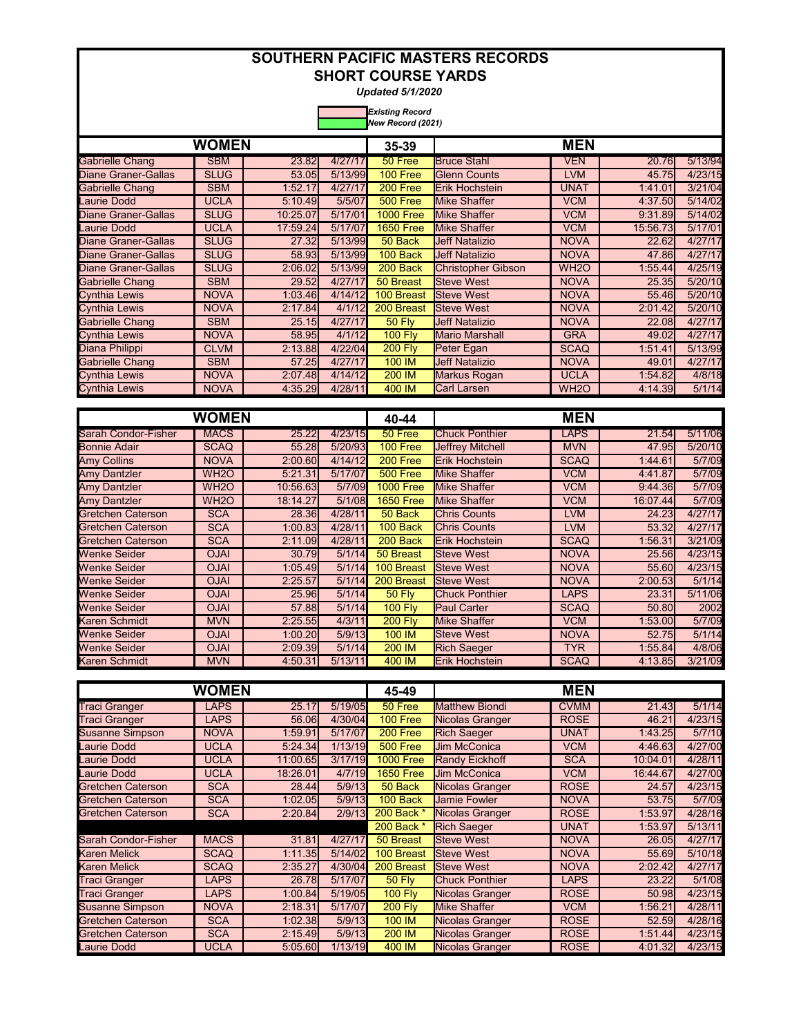*Updated 5/1/2020* 

|                            | New Record (2021) |          |         |                  |                           |                   |              |         |  |  |  |  |
|----------------------------|-------------------|----------|---------|------------------|---------------------------|-------------------|--------------|---------|--|--|--|--|
|                            | <b>WOMEN</b>      |          |         | 35-39            |                           | <b>MEN</b>        |              |         |  |  |  |  |
| Gabrielle Chang            | <b>SBM</b>        | 23.82    | 4/27/17 | 50 Free          | <b>Bruce Stahl</b>        | <b>VEN</b>        | 20.76        | 5/13/94 |  |  |  |  |
| <b>Diane Graner-Gallas</b> | <b>SLUG</b>       | 53.05    | 5/13/99 | 100 Free         | <b>Glenn Counts</b>       | <b>LVM</b>        | 45.75        | 4/23/15 |  |  |  |  |
| Gabrielle Chang            | <b>SBM</b>        | 1:52.17  | 4/27/17 | 200 Free         | Erik Hochstein            | <b>UNAT</b>       | 1:41.01      | 3/21/04 |  |  |  |  |
| Laurie Dodd                | <b>UCLA</b>       | 5:10.49  | 5/5/07  | <b>500 Free</b>  | <b>Mike Shaffer</b>       | <b>VCM</b>        | 4:37.50      | 5/14/02 |  |  |  |  |
| Diane Graner-Gallas        | <b>SLUG</b>       | 10:25.07 | 5/17/01 | <b>1000 Free</b> | Mike Shaffer              | <b>VCM</b>        | 9:31.89      | 5/14/02 |  |  |  |  |
| <b>Laurie Dodd</b>         | <b>UCLA</b>       | 17:59.24 | 5/17/07 | <b>1650 Free</b> | Mike Shaffer              | <b>VCM</b>        | 15:56.73     | 5/17/01 |  |  |  |  |
| Diane Graner-Gallas        | <b>SLUG</b>       | 27.32    | 5/13/99 | 50 Back          | <b>Jeff Natalizio</b>     | <b>NOVA</b>       | 22.62        | 4/27/17 |  |  |  |  |
| Diane Graner-Gallas        | <b>SLUG</b>       | 58.93    | 5/13/99 | 100 Back         | <b>Jeff Natalizio</b>     | <b>NOVA</b>       | 47.86        | 4/27/17 |  |  |  |  |
| Diane Graner-Gallas        | <b>SLUG</b>       | 2:06.02  | 5/13/99 | 200 Back         | <b>Christopher Gibson</b> | WH <sub>2</sub> O | 1:55.44      | 4/25/19 |  |  |  |  |
| <b>Gabrielle Chang</b>     | <b>SBM</b>        | 29.52    | 4/27/17 | 50 Breast        | <b>Steve West</b>         | <b>NOVA</b>       | <b>25.35</b> | 5/20/10 |  |  |  |  |
| Cynthia Lewis              | <b>NOVA</b>       | 1:03.46  | 4/14/12 | 100 Breast       | <b>Steve West</b>         | <b>NOVA</b>       | 55.46        | 5/20/10 |  |  |  |  |
| Cynthia Lewis              | <b>NOVA</b>       | 2:17.84  | 4/1/12  | 200 Breast       | <b>Steve West</b>         | <b>NOVA</b>       | 2:01.42      | 5/20/10 |  |  |  |  |
| <b>Gabrielle Chang</b>     | <b>SBM</b>        | 25.15    | 4/27/17 | <b>50 Flv</b>    | <b>Jeff Natalizio</b>     | <b>NOVA</b>       | 22.08        | 4/27/17 |  |  |  |  |
| Cynthia Lewis              | <b>NOVA</b>       | 58.95    | 4/1/12  | <b>100 Fly</b>   | <b>Mario Marshall</b>     | <b>GRA</b>        | 49.02        | 4/27/17 |  |  |  |  |
| Diana Philippi             | <b>CLVM</b>       | 2:13.88  | 4/22/04 | <b>200 Fly</b>   | Peter Egan                | <b>SCAQ</b>       | 1:51.41      | 5/13/99 |  |  |  |  |
| <b>Gabrielle Chang</b>     | <b>SBM</b>        | 57.25    | 4/27/17 | 100 IM           | <b>Jeff Natalizio</b>     | <b>NOVA</b>       | 49.01        | 4/27/17 |  |  |  |  |
| Cynthia Lewis              | <b>NOVA</b>       | 2:07.48  | 4/14/12 | 200 IM           | Markus Rogan              | <b>UCLA</b>       | 1:54.82      | 4/8/18  |  |  |  |  |
| Cynthia Lewis              | <b>NOVA</b>       | 4:35.29  | 4/28/11 | 400 IM           | Carl Larsen               | WH <sub>2</sub> O | 4:14.39      | 5/1/14  |  |  |  |  |

|                            | WOMEN             |          |         | 40-44            |                         | <b>MEN</b>  |          |         |
|----------------------------|-------------------|----------|---------|------------------|-------------------------|-------------|----------|---------|
| <b>Sarah Condor-Fisher</b> | <b>MACS</b>       | 25.22    | 4/23/15 | 50 Free          | <b>Chuck Ponthier</b>   | LAPS        | 21.54    | 5/11/06 |
| <b>Bonnie Adair</b>        | <b>SCAQ</b>       | 55.28    | 5/20/93 | 100 Free         | <b>Jeffrey Mitchell</b> | <b>MVN</b>  | 47.95    | 5/20/10 |
| <b>Amy Collins</b>         | NOVA              | 2:00.60  | 4/14/12 | 200 Free         | <b>Erik Hochstein</b>   | <b>SCAQ</b> | 1:44.61  | 5/7/09  |
| <b>Amy Dantzler</b>        | WH <sub>2</sub> O | 5:21.31  | 5/17/07 | <b>500 Free</b>  | <b>Mike Shaffer</b>     | VCM         | 4:41.87  | 5/7/09  |
| <b>Amy Dantzler</b>        | WH <sub>2</sub> O | 10:56.63 | 5/7/09  | <b>1000 Free</b> | <b>Mike Shaffer</b>     | VCM         | 9:44.36  | 5/7/09  |
| <b>Amy Dantzler</b>        | WH <sub>2</sub> O | 18:14.27 | 5/1/08  | <b>1650 Free</b> | Mike Shaffer            | <b>VCM</b>  | 16:07.44 | 5/7/09  |
| <b>Gretchen Caterson</b>   | <b>SCA</b>        | 28.36    | 4/28/11 | 50 Back          | <b>Chris Counts</b>     | <b>LVM</b>  | 24.23    | 4/27/17 |
| Gretchen Caterson          | <b>SCA</b>        | 1:00.83  | 4/28/11 | 100 Back         | <b>Chris Counts</b>     | <b>LVM</b>  | 53.32    | 4/27/17 |
| <b>Gretchen Caterson</b>   | <b>SCA</b>        | 2:11.09  | 4/28/11 | 200 Back         | Erik Hochstein          | <b>SCAQ</b> | 1:56.31  | 3/21/09 |
| <b>Wenke Seider</b>        | <b>OJAI</b>       | 30.79    | 5/1/14  | 50 Breast        | <b>Steve West</b>       | <b>NOVA</b> | 25.56    | 4/23/15 |
| <b>Wenke Seider</b>        | <b>OJAI</b>       | 1:05.49  | 5/1/14  | 100 Breast       | <b>Steve West</b>       | <b>NOVA</b> | 55.60    | 4/23/15 |
| <b>Wenke Seider</b>        | <b>OJAI</b>       | 2:25.57  | 5/1/14  | 200 Breast       | <b>Steve West</b>       | <b>NOVA</b> | 2:00.53  | 5/1/14  |
| <b>Wenke Seider</b>        | <b>OJAI</b>       | 25.96    | 5/1/14  | <b>50 Fly</b>    | <b>Chuck Ponthier</b>   | <b>LAPS</b> | 23.31    | 5/11/06 |
| <b>Wenke Seider</b>        | <b>OJAI</b>       | 57.88    | 5/1/14  | <b>100 Fly</b>   | <b>Paul Carter</b>      | <b>SCAQ</b> | 50.80    | 2002    |
| Karen Schmidt              | <b>MVN</b>        | 2:25.55  | 4/3/11  | <b>200 Flv</b>   | <b>Mike Shaffer</b>     | <b>VCM</b>  | 1:53.00  | 5/7/09  |
| <b>Wenke Seider</b>        | <b>OJAI</b>       | 1:00.20  | 5/9/13  | 100 IM           | <b>Steve West</b>       | <b>NOVA</b> | 52.75    | 5/1/14  |
| <b>Wenke Seider</b>        | <b>OJAI</b>       | 2:09.39  | 5/1/14  | 200 IM           | <b>Rich Saeger</b>      | TYR         | 1:55.84  | 4/8/06  |
| Karen Schmidt              | <b>MVN</b>        | 4:50.31  | 5/13/11 | 400 IM           | <b>Erik Hochstein</b>   | <b>SCAQ</b> | 4:13.85  | 3/21/09 |

|                          | <b>WOMEN</b> |          |         | 45-49            |                        | <b>MEN</b>  |          |         |
|--------------------------|--------------|----------|---------|------------------|------------------------|-------------|----------|---------|
| <b>Traci Granger</b>     | <b>LAPS</b>  | 25.17    | 5/19/05 | 50 Free          | <b>Matthew Biondi</b>  | <b>CVMM</b> | 21.43    | 5/1/14  |
| <b>Traci Granger</b>     | <b>LAPS</b>  | 56.06    | 4/30/04 | 100 Free         | Nicolas Granger        | <b>ROSE</b> | 46.21    | 4/23/15 |
| <b>Susanne Simpson</b>   | <b>NOVA</b>  | 1:59.91  | 5/17/07 | 200 Free         | <b>Rich Saeger</b>     | <b>UNAT</b> | 1:43.25  | 5/7/10  |
| Laurie Dodd              | <b>UCLA</b>  | 5:24.34  | 1/13/19 | <b>500 Free</b>  | <b>Jim McConica</b>    | <b>VCM</b>  | 4:46.63  | 4/27/00 |
| Laurie Dodd              | <b>UCLA</b>  | 11:00.65 | 3/17/19 | <b>1000 Free</b> | <b>Randy Eickhoff</b>  | <b>SCA</b>  | 10:04.01 | 4/28/11 |
| <b>Laurie Dodd</b>       | <b>UCLA</b>  | 18:26.01 | 4/7/19  | <b>1650 Free</b> | <b>Jim McConica</b>    | <b>VCM</b>  | 16:44.67 | 4/27/00 |
| <b>Gretchen Caterson</b> | <b>SCA</b>   | 28.44    | 5/9/13  | 50 Back          | Nicolas Granger        | <b>ROSE</b> | 24.57    | 4/23/15 |
| <b>Gretchen Caterson</b> | <b>SCA</b>   | 1:02.05  | 5/9/13  | 100 Back         | <b>Jamie Fowler</b>    | <b>NOVA</b> | 53.75    | 5/7/09  |
| <b>Gretchen Caterson</b> | <b>SCA</b>   | 2:20.84  | 2/9/13  | 200 Back *       | Nicolas Granger        | <b>ROSE</b> | 1:53.97  | 4/28/16 |
|                          |              |          |         | 200 Back *       | <b>Rich Saeger</b>     | <b>UNAT</b> | 1:53.97  | 5/13/11 |
| Sarah Condor-Fisher      | <b>MACS</b>  | 31.81    | 4/27/17 | 50 Breast        | <b>Steve West</b>      | <b>NOVA</b> | 26.05    | 4/27/17 |
| <b>Karen Melick</b>      | <b>SCAQ</b>  | 1:11.35  | 5/14/02 | 100 Breast       | <b>Steve West</b>      | <b>NOVA</b> | 55.69    | 5/10/18 |
| <b>Karen Melick</b>      | <b>SCAQ</b>  | 2:35.27  | 4/30/04 | 200 Breast       | <b>Steve West</b>      | <b>NOVA</b> | 2:02.42  | 4/27/17 |
| <b>Traci Granger</b>     | <b>LAPS</b>  | 26.78    | 5/17/07 | <b>50 Fly</b>    | <b>Chuck Ponthier</b>  | <b>LAPS</b> | 23.22    | 5/1/08  |
| <b>Traci Granger</b>     | <b>LAPS</b>  | 1:00.84  | 5/19/05 | <b>100 Fly</b>   | <b>Nicolas Granger</b> | <b>ROSE</b> | 50.98    | 4/23/15 |
| <b>Susanne Simpson</b>   | <b>NOVA</b>  | 2:18.31  | 5/17/07 | <b>200 Fly</b>   | <b>Mike Shaffer</b>    | <b>VCM</b>  | 1:56.21  | 4/28/11 |
| <b>Gretchen Caterson</b> | <b>SCA</b>   | 1:02.38  | 5/9/13  | 100 IM           | Nicolas Granger        | <b>ROSE</b> | 52.59    | 4/28/16 |
| <b>Gretchen Caterson</b> | <b>SCA</b>   | 2:15.49  | 5/9/13  | 200 IM           | Nicolas Granger        | <b>ROSE</b> | 1:51.44  | 4/23/15 |
| <b>Laurie Dodd</b>       | UCLA         | 5:05.60  | 1/13/19 | 400 IM           | Nicolas Granger        | <b>ROSE</b> | 4:01.32  | 4/23/15 |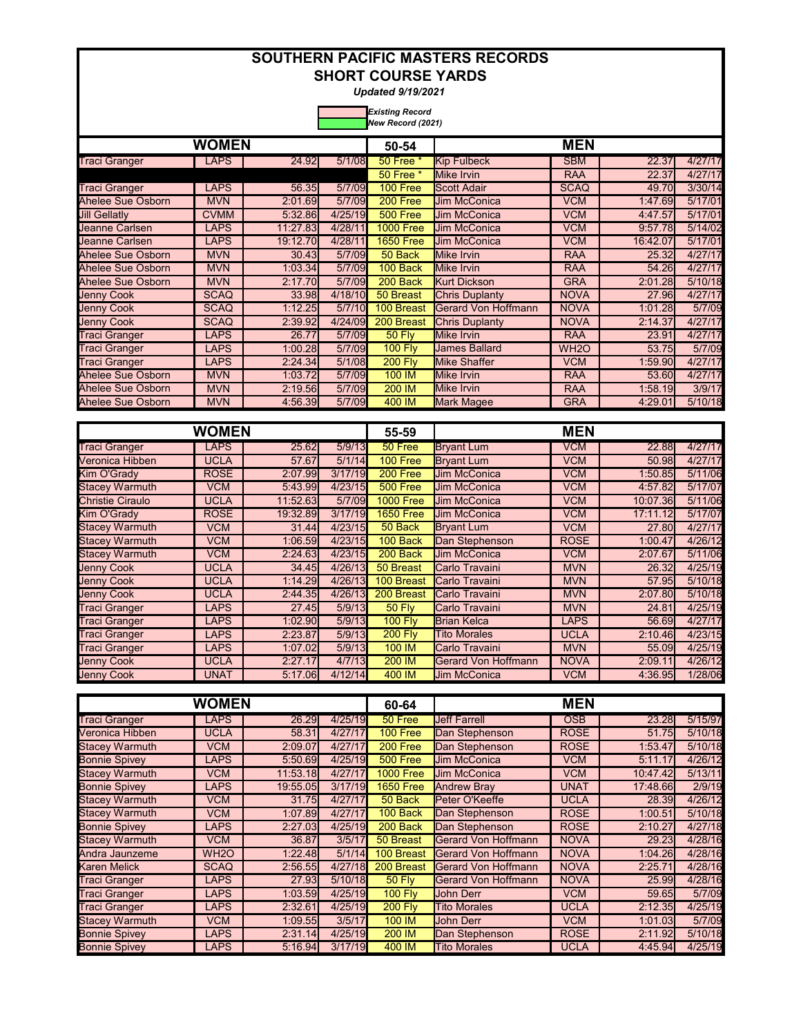*Updated 9/19/2021* 

|                       | <b>WOMEN</b><br><b>LAPS</b> |          |         | 50-54            |                       |                   |          |         |
|-----------------------|-----------------------------|----------|---------|------------------|-----------------------|-------------------|----------|---------|
| <b>Traci Granger</b>  |                             | 24.92    |         |                  |                       | <b>MEN</b>        |          |         |
|                       |                             |          | 5/1/08  | 50 Free *        | <b>Kip Fulbeck</b>    | <b>SBM</b>        | 22.37    | 4/27/17 |
|                       |                             |          |         | 50 Free *        | Mike Irvin            | <b>RAA</b>        | 22.37    | 4/27/17 |
| <b>Traci Granger</b>  | <b>LAPS</b>                 | 56.35    | 5/7/09  | <b>100 Free</b>  | <b>Scott Adair</b>    | <b>SCAQ</b>       | 49.70    | 3/30/14 |
| Ahelee Sue Osborn     | <b>MVN</b>                  | 2:01.69  | 5/7/09  | 200 Free         | <b>Jim McConica</b>   | <b>VCM</b>        | 1:47.69  | 5/17/01 |
| <b>Jill Gellatly</b>  | <b>CVMM</b>                 | 5:32.86  | 4/25/19 | 500 Free         | <b>Jim McConica</b>   | <b>VCM</b>        | 4:47.57  | 5/17/01 |
| Jeanne Carlsen        | <b>LAPS</b>                 | 11:27.83 | 4/28/11 | <b>1000 Free</b> | <b>Jim McConica</b>   | <b>VCM</b>        | 9:57.78  | 5/14/02 |
| <b>Jeanne Carlsen</b> | <b>LAPS</b>                 | 19:12.70 | 4/28/11 | <b>1650 Free</b> | <b>Jim McConica</b>   | <b>VCM</b>        | 16:42.07 | 5/17/01 |
| Ahelee Sue Osborn     | <b>MVN</b>                  | 30.43    | 5/7/09  | 50 Back          | Mike Irvin            | <b>RAA</b>        | 25.32    | 4/27/17 |
| Ahelee Sue Osborn     | <b>MVN</b>                  | 1:03.34  | 5/7/09  | 100 Back         | Mike Irvin            | <b>RAA</b>        | 54.26    | 4/27/17 |
| Ahelee Sue Osborn     | <b>MVN</b>                  | 2:17.70  | 5/7/09  | 200 Back         | <b>Kurt Dickson</b>   | <b>GRA</b>        | 2:01.28  | 5/10/18 |
| <b>Jenny Cook</b>     | <b>SCAQ</b>                 | 33.98    | 4/18/10 | 50 Breast        | <b>Chris Duplanty</b> | <b>NOVA</b>       | 27.96    | 4/27/17 |
| <b>Jenny Cook</b>     | <b>SCAQ</b>                 | 1:12.25  | 5/7/10  | 100 Breast       | Gerard Von Hoffmann   | <b>NOVA</b>       | 1:01.28  | 5/7/09  |
| <b>Jenny Cook</b>     | <b>SCAQ</b>                 | 2:39.92  | 4/24/09 | 200 Breast       | <b>Chris Duplanty</b> | <b>NOVA</b>       | 2:14.37  | 4/27/17 |
| <b>Traci Granger</b>  | <b>LAPS</b>                 | 26.77    | 5/7/09  | <b>50 Fly</b>    | Mike Irvin            | <b>RAA</b>        | 23.91    | 4/27/17 |
| <b>Traci Granger</b>  | <b>LAPS</b>                 | 1:00.28  | 5/7/09  | <b>100 Flv</b>   | <b>James Ballard</b>  | WH <sub>2</sub> O | 53.75    | 5/7/09  |
| <b>Traci Granger</b>  | <b>LAPS</b>                 | 2:24.34  | 5/1/08  | <b>200 Fly</b>   | Mike Shaffer          | <b>VCM</b>        | 1:59.90  | 4/27/17 |
| Ahelee Sue Osborn     | <b>MVN</b>                  | 1:03.72  | 5/7/09  | 100 IM           | Mike Irvin            | <b>RAA</b>        | 53.60    | 4/27/17 |
| Ahelee Sue Osborn     | <b>MVN</b>                  | 2:19.56  | 5/7/09  | 200 IM           | Mike Irvin            | <b>RAA</b>        | 1:58.19  | 3/9/17  |
| Ahelee Sue Osborn     | <b>MVN</b>                  | 4:56.39  | 5/7/09  | 400 IM           | <b>Mark Magee</b>     | <b>GRA</b>        | 4:29.01  | 5/10/18 |

| <b>WOMEN</b><br>25.62<br>LAPS<br><b>UCLA</b><br>57.67<br><b>ROSE</b><br>2:07.99<br><b>VCM</b><br>5:43.99<br><b>UCLA</b><br>11:52.63<br><b>ROSE</b><br>19:32.89<br><b>VCM</b><br>31.44<br><b>VCM</b><br>1:06.59<br>VCM<br>2:24.63<br><b>UCLA</b><br>34.45<br><b>UCLA</b><br>1:14.29<br><b>UCLA</b><br>2:44.35<br>LAPS<br>27.45<br>LAPS<br>1:02.90 |             |         |         | 55-59            |                     | <b>MEN</b>  |              |         |
|--------------------------------------------------------------------------------------------------------------------------------------------------------------------------------------------------------------------------------------------------------------------------------------------------------------------------------------------------|-------------|---------|---------|------------------|---------------------|-------------|--------------|---------|
| <b>Traci Granger</b>                                                                                                                                                                                                                                                                                                                             |             |         | 5/9/13  | 50 Free          | <b>Bryant Lum</b>   | VCM         | <b>22.88</b> | 4/27/17 |
| Veronica Hibben                                                                                                                                                                                                                                                                                                                                  |             |         | 5/1/14  | 100 Free         | <b>Bryant Lum</b>   | <b>VCM</b>  | 50.98        | 4/27/17 |
| Kim O'Grady                                                                                                                                                                                                                                                                                                                                      |             |         | 3/17/19 | 200 Free         | <b>Jim McConica</b> | <b>VCM</b>  | 1:50.85      | 5/11/06 |
| <b>Stacey Warmuth</b>                                                                                                                                                                                                                                                                                                                            |             |         | 4/23/15 | 500 Free         | <b>Jim McConica</b> | <b>VCM</b>  | 4:57.82      | 5/17/07 |
| Christie Ciraulo                                                                                                                                                                                                                                                                                                                                 |             |         | 5/7/09  | <b>1000 Free</b> | <b>Jim McConica</b> | <b>VCM</b>  | 10:07.36     | 5/11/06 |
| Kim O'Grady                                                                                                                                                                                                                                                                                                                                      |             |         | 3/17/19 | <b>1650 Free</b> | <b>Jim McConica</b> | <b>VCM</b>  | 17:11.12     | 5/17/07 |
| <b>Stacey Warmuth</b>                                                                                                                                                                                                                                                                                                                            |             |         | 4/23/15 | 50 Back          | <b>Bryant Lum</b>   | <b>VCM</b>  | 27.80        | 4/27/17 |
| <b>Stacey Warmuth</b>                                                                                                                                                                                                                                                                                                                            |             |         | 4/23/15 | 100 Back         | Dan Stephenson      | <b>ROSE</b> | 1:00.47      | 4/26/12 |
| <b>Stacey Warmuth</b>                                                                                                                                                                                                                                                                                                                            |             |         | 4/23/15 | 200 Back         | <b>Jim McConica</b> | <b>VCM</b>  | 2:07.67      | 5/11/06 |
| <b>Jenny Cook</b>                                                                                                                                                                                                                                                                                                                                |             |         | 4/26/13 | 50 Breast        | Carlo Travaini      | <b>MVN</b>  | 26.32        | 4/25/19 |
| <b>Jenny Cook</b>                                                                                                                                                                                                                                                                                                                                |             |         | 4/26/13 | 100 Breast       | Carlo Travaini      | <b>MVN</b>  | 57.95        | 5/10/18 |
| <b>Jenny Cook</b>                                                                                                                                                                                                                                                                                                                                |             |         | 4/26/13 | 200 Breast       | Carlo Travaini      | <b>MVN</b>  | 2:07.80      | 5/10/18 |
| <b>Traci Granger</b>                                                                                                                                                                                                                                                                                                                             |             |         | 5/9/13  | <b>50 Fly</b>    | Carlo Travaini      | <b>MVN</b>  | 24.81        | 4/25/19 |
| <b>Traci Granger</b>                                                                                                                                                                                                                                                                                                                             |             |         | 5/9/13  | <b>100 Flv</b>   | <b>Brian Kelca</b>  | LAPS        | 56.69        | 4/27/17 |
| <b>Traci Granger</b>                                                                                                                                                                                                                                                                                                                             | LAPS        | 2:23.87 | 5/9/13  | <b>200 Fly</b>   | <b>Tito Morales</b> | <b>UCLA</b> | 2:10.46      | 4/23/15 |
| <b>Traci Granger</b>                                                                                                                                                                                                                                                                                                                             | <b>LAPS</b> | 1:07.02 | 5/9/13  | 100 IM           | Carlo Travaini      | <b>MVN</b>  | 55.09        | 4/25/19 |
| <b>Jenny Cook</b>                                                                                                                                                                                                                                                                                                                                | <b>UCLA</b> | 2:27.17 | 4/7/13  | 200 IM           | Gerard Von Hoffmann | <b>NOVA</b> | 2:09.11      | 4/26/12 |
| <b>Jenny Cook</b>                                                                                                                                                                                                                                                                                                                                | <b>UNAT</b> | 5:17.06 | 4/12/14 | 400 IM           | <b>Jim McConica</b> | VCM         | 4:36.95      | 1/28/06 |

|                       | <b>WOMEN</b>      |          |         | 60-64            |                            | <b>MEN</b>  |              |         |
|-----------------------|-------------------|----------|---------|------------------|----------------------------|-------------|--------------|---------|
| <b>Traci Granger</b>  | <b>LAPS</b>       | 26.29    | 4/25/19 | 50 Free          | <b>Jeff Farrell</b>        | <b>OSB</b>  | 23.28        | 5/15/97 |
| Veronica Hibben       | <b>UCLA</b>       | 58.31    | 4/27/17 | 100 Free         | Dan Stephenson             | <b>ROSE</b> | 51.75        | 5/10/18 |
| <b>Stacey Warmuth</b> | <b>VCM</b>        | 2:09.07  | 4/27/17 | 200 Free         | Dan Stephenson             | <b>ROSE</b> | 1:53.47      | 5/10/18 |
| <b>Bonnie Spivey</b>  | <b>LAPS</b>       | 5:50.69  | 4/25/19 | <b>500 Free</b>  | <b>Jim McConica</b>        | <b>VCM</b>  | 5:11.17      | 4/26/12 |
| <b>Stacey Warmuth</b> | <b>VCM</b>        | 11:53.18 | 4/27/17 | <b>1000 Free</b> | <b>Jim McConica</b>        | <b>VCM</b>  | 10:47.42     | 5/13/11 |
| <b>Bonnie Spivey</b>  | <b>LAPS</b>       | 19:55.05 | 3/17/19 | <b>1650 Free</b> | <b>Andrew Bray</b>         | UNAT        | 17:48.66     | 2/9/19  |
| <b>Stacey Warmuth</b> | <b>VCM</b>        | 31.75    | 4/27/17 | 50 Back          | Peter O'Keeffe             | <b>UCLA</b> | <b>28.39</b> | 4/26/12 |
| <b>Stacey Warmuth</b> | <b>VCM</b>        | 1:07.89  | 4/27/17 | 100 Back         | Dan Stephenson             | <b>ROSE</b> | 1:00.51      | 5/10/18 |
| <b>Bonnie Spivey</b>  | <b>LAPS</b>       | 2:27.03  | 4/25/19 | 200 Back         | Dan Stephenson             | <b>ROSE</b> | 2:10.27      | 4/27/18 |
| <b>Stacey Warmuth</b> | <b>VCM</b>        | 36.87    | 3/5/17  | 50 Breast        | Gerard Von Hoffmann        | <b>NOVA</b> | 29.23        | 4/28/16 |
| Andra Jaunzeme        | WH <sub>2</sub> O | 1:22.48  | 5/1/14  | 100 Breast       | <b>Gerard Von Hoffmann</b> | <b>NOVA</b> | 1:04.26      | 4/28/16 |
| Karen Melick          | <b>SCAQ</b>       | 2:56.55  | 4/27/18 | 200 Breast       | Gerard Von Hoffmann        | <b>NOVA</b> | 2:25.71      | 4/28/16 |
| Traci Granger         | <b>LAPS</b>       | 27.93    | 5/10/18 | <b>50 Fly</b>    | Gerard Von Hoffmann        | <b>NOVA</b> | 25.99        | 4/28/16 |
| <b>Traci Granger</b>  | <b>LAPS</b>       | 1:03.59  | 4/25/19 | <b>100 Fly</b>   | <b>John Derr</b>           | <b>VCM</b>  | 59.65        | 5/7/09  |
| Traci Granger         | <b>LAPS</b>       | 2:32.61  | 4/25/19 | <b>200 Flv</b>   | <b>Tito Morales</b>        | <b>UCLA</b> | 2:12.35      | 4/25/19 |
| <b>Stacey Warmuth</b> | <b>VCM</b>        | 1:09.55  | 3/5/17  | 100 IM           | <b>John Derr</b>           | <b>VCM</b>  | 1:01.03      | 5/7/09  |
| <b>Bonnie Spivey</b>  | <b>LAPS</b>       | 2:31.14  | 4/25/19 | 200 IM           | Dan Stephenson             | <b>ROSE</b> | 2:11.92      | 5/10/18 |
| <b>Bonnie Spivey</b>  | <b>LAPS</b>       | 5:16.94  | 3/17/19 | 400 IM           | <b>Tito Morales</b>        | <b>UCLA</b> | 4:45.94      | 4/25/19 |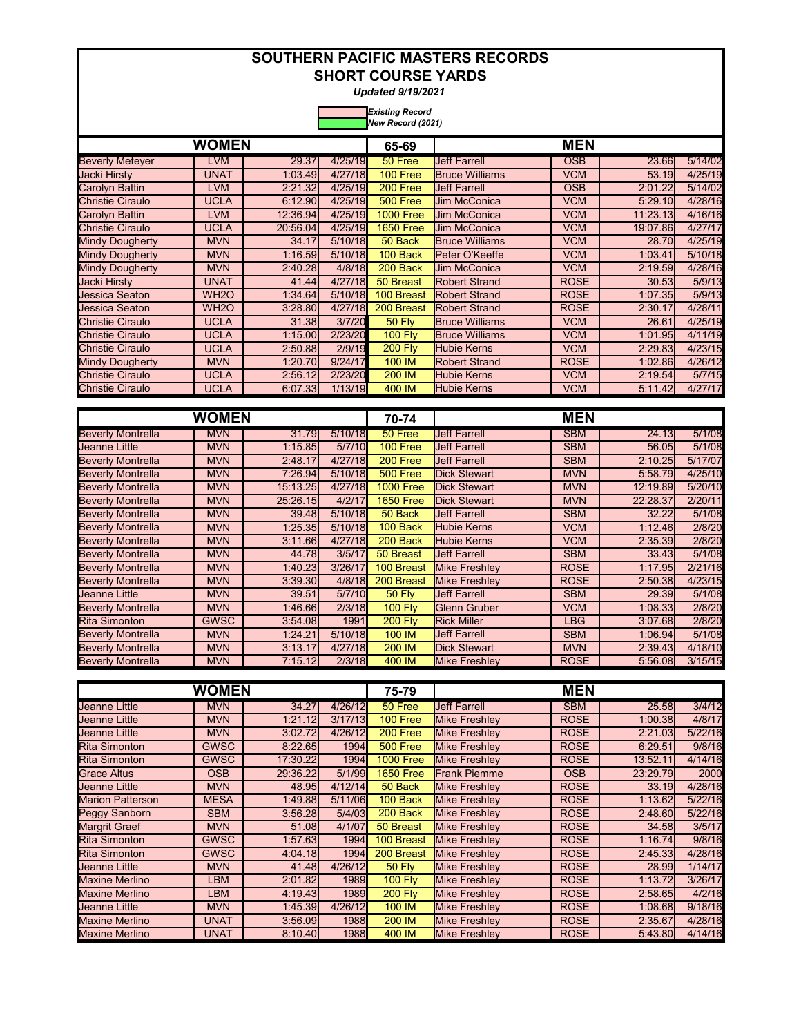*Updated 9/19/2021* 

|                         | New Record (2021) |          |         |                  |                       |             |              |         |  |  |  |  |
|-------------------------|-------------------|----------|---------|------------------|-----------------------|-------------|--------------|---------|--|--|--|--|
|                         | <b>WOMEN</b>      |          |         | 65-69            |                       | <b>MEN</b>  |              |         |  |  |  |  |
| <b>Beverly Meteyer</b>  | LVM               | 29.37    | 4/25/19 | 50 Free          | <b>Jeff Farrell</b>   | <b>OSB</b>  | 23.66        | 5/14/02 |  |  |  |  |
| Jacki Hirsty            | UNAT              | 1:03.49  | 4/27/18 | 100 Free         | <b>Bruce Williams</b> | <b>VCM</b>  | 53.19        | 4/25/19 |  |  |  |  |
| Carolyn Battin          | <b>LVM</b>        | 2:21.32  | 4/25/19 | 200 Free         | <b>Jeff Farrell</b>   | <b>OSB</b>  | 2:01.22      | 5/14/02 |  |  |  |  |
| Christie Ciraulo        | UCLA              | 6:12.90  | 4/25/19 | 500 Free         | <b>Jim McConica</b>   | <b>VCM</b>  | 5:29.10      | 4/28/16 |  |  |  |  |
| Carolyn Battin          | <b>LVM</b>        | 12:36.94 | 4/25/19 | <b>1000 Free</b> | <b>Jim McConica</b>   | <b>VCM</b>  | 11:23.13     | 4/16/16 |  |  |  |  |
| <b>Christie Ciraulo</b> | <b>UCLA</b>       | 20:56.04 | 4/25/19 | <b>1650 Free</b> | <b>Jim McConica</b>   | <b>VCM</b>  | 19:07.86     | 4/27/17 |  |  |  |  |
| Mindy Dougherty         | <b>MVN</b>        | 34.17    | 5/10/18 | 50 Back          | <b>Bruce Williams</b> | VCM         | 28.70        | 4/25/19 |  |  |  |  |
| <b>Mindy Dougherty</b>  | <b>MVN</b>        | 1:16.59  | 5/10/18 | 100 Back         | Peter O'Keeffe        | <b>VCM</b>  | 1:03.41      | 5/10/18 |  |  |  |  |
| Mindy Dougherty         | <b>MVN</b>        | 2:40.28  | 4/8/18  | 200 Back         | <b>Jim McConica</b>   | <b>VCM</b>  | 2:19.59      | 4/28/16 |  |  |  |  |
| Jacki Hirsty            | UNAT              | 41.44    | 4/27/18 | 50 Breast        | <b>Robert Strand</b>  | <b>ROSE</b> | <b>30.53</b> | 5/9/13  |  |  |  |  |
| Jessica Seaton          | WH <sub>2</sub> O | 1:34.64  | 5/10/18 | 100 Breast       | <b>Robert Strand</b>  | <b>ROSE</b> | 1:07.35      | 5/9/13  |  |  |  |  |
| Jessica Seaton          | WH <sub>2</sub> O | 3:28.80  | 4/27/18 | 200 Breast       | <b>Robert Strand</b>  | <b>ROSE</b> | 2:30.17      | 4/28/11 |  |  |  |  |
| <b>Christie Ciraulo</b> | <b>UCLA</b>       | 31.38    | 3/7/20  | <b>50 Flv</b>    | <b>Bruce Williams</b> | <b>VCM</b>  | 26.61        | 4/25/19 |  |  |  |  |
| <b>Christie Ciraulo</b> | <b>UCLA</b>       | 1:15.00  | 2/23/20 | <b>100 Fly</b>   | <b>Bruce Williams</b> | <b>VCM</b>  | 1:01.95      | 4/11/19 |  |  |  |  |
| <b>Christie Ciraulo</b> | UCLA              | 2:50.88  | 2/9/19  | <b>200 Fly</b>   | <b>Hubie Kerns</b>    | <b>VCM</b>  | 2:29.83      | 4/23/15 |  |  |  |  |
| <b>Mindy Dougherty</b>  | <b>MVN</b>        | 1:20.70  | 9/24/17 | 100 IM           | <b>Robert Strand</b>  | <b>ROSE</b> | 1:02.86      | 4/26/12 |  |  |  |  |
| <b>Christie Ciraulo</b> | UCLA              | 2:56.12  | 2/23/20 | 200 IM           | <b>Hubie Kerns</b>    | <b>VCM</b>  | 2:19.54      | 5/7/15  |  |  |  |  |
| <b>Christie Ciraulo</b> | UCLA              | 6:07.33  | 1/13/19 | 400 IM           | <b>Hubie Kerns</b>    | <b>VCM</b>  | 5:11.42      | 4/27/17 |  |  |  |  |

|                          | WOMEN       |          |         | 70-74            |                      | <b>MEN</b>  |          |         |
|--------------------------|-------------|----------|---------|------------------|----------------------|-------------|----------|---------|
| <b>Beverly Montrella</b> | <b>MVN</b>  | 31.79    | 5/10/18 | 50 Free          | <b>Jeff Farrell</b>  | <b>SBM</b>  | 24.13    | 5/1/08  |
| <b>Jeanne Little</b>     | <b>MVN</b>  | 1:15.85  | 5/7/10  | 100 Free         | <b>Jeff Farrell</b>  | <b>SBM</b>  | 56.05    | 5/1/08  |
| <b>Beverly Montrella</b> | <b>MVN</b>  | 2:48.17  | 4/27/18 | 200 Free         | <b>Jeff Farrell</b>  | <b>SBM</b>  | 2:10.25  | 5/17/07 |
| <b>Beverly Montrella</b> | <b>MVN</b>  | 7:26.94  | 5/10/18 | <b>500 Free</b>  | <b>Dick Stewart</b>  | <b>MVN</b>  | 5:58.79  | 4/25/10 |
| <b>Beverly Montrella</b> | <b>MVN</b>  | 15:13.25 | 4/27/18 | <b>1000 Free</b> | <b>Dick Stewart</b>  | <b>MVN</b>  | 12:19.89 | 5/20/10 |
| <b>Beverly Montrella</b> | <b>MVN</b>  | 25:26.15 | 4/2/17  | <b>1650 Free</b> | <b>Dick Stewart</b>  | <b>MVN</b>  | 22:28.37 | 2/20/11 |
| <b>Beverly Montrella</b> | <b>MVN</b>  | 39.48    | 5/10/18 | 50 Back          | <b>Jeff Farrell</b>  | <b>SBM</b>  | 32.22    | 5/1/08  |
| <b>Beverly Montrella</b> | <b>MVN</b>  | 1:25.35  | 5/10/18 | 100 Back         | <b>Hubie Kerns</b>   | <b>VCM</b>  | 1:12.46  | 2/8/20  |
| <b>Beverly Montrella</b> | <b>MVN</b>  | 3:11.66  | 4/27/18 | 200 Back         | <b>Hubie Kerns</b>   | <b>VCM</b>  | 2:35.39  | 2/8/20  |
| <b>Beverly Montrella</b> | <b>MVN</b>  | 44.78    | 3/5/17  | 50 Breast        | <b>Jeff Farrell</b>  | <b>SBM</b>  | 33.43    | 5/1/08  |
| <b>Beverly Montrella</b> | <b>MVN</b>  | 1:40.23  | 3/26/17 | 100 Breast       | <b>Mike Freshlev</b> | <b>ROSE</b> | 1:17.95  | 2/21/16 |
| <b>Beverly Montrella</b> | <b>MVN</b>  | 3:39.30  | 4/8/18  | 200 Breast       | <b>Mike Freshley</b> | <b>ROSE</b> | 2:50.38  | 4/23/15 |
| <b>Jeanne Little</b>     | <b>MVN</b>  | 39.51    | 5/7/10  | <b>50 Fly</b>    | <b>Jeff Farrell</b>  | <b>SBM</b>  | 29.39    | 5/1/08  |
| <b>Beverly Montrella</b> | <b>MVN</b>  | 1:46.66  | 2/3/18  | <b>100 Fly</b>   | <b>Glenn Gruber</b>  | VCM         | 1:08.33  | 2/8/20  |
| <b>Rita Simonton</b>     | <b>GWSC</b> | 3:54.08  | 1991    | <b>200 Fly</b>   | <b>Rick Miller</b>   | LBG         | 3:07.68  | 2/8/20  |
| <b>Beverly Montrella</b> | <b>MVN</b>  | 1:24.21  | 5/10/18 | 100 IM           | <b>Jeff Farrell</b>  | <b>SBM</b>  | 1:06.94  | 5/1/08  |
| <b>Beverly Montrella</b> | <b>MVN</b>  | 3:13.17  | 4/27/18 | 200 IM           | <b>Dick Stewart</b>  | <b>MVN</b>  | 2:39.43  | 4/18/10 |
| <b>Beverly Montrella</b> | <b>MVN</b>  | 7:15.12  | 2/3/18  | 400 IM           | <b>Mike Freshley</b> | <b>ROSE</b> | 5:56.08  | 3/15/15 |

|                         | WOMEN       |          |         | 75-79            |                      | <b>MEN</b>  |          |         |
|-------------------------|-------------|----------|---------|------------------|----------------------|-------------|----------|---------|
| <b>Jeanne Little</b>    | <b>MVN</b>  | 34.27    | 4/26/12 | 50 Free          | <b>Jeff Farrell</b>  | <b>SBM</b>  | 25.58    | 3/4/12  |
| <b>Jeanne Little</b>    | <b>MVN</b>  | 1:21.12  | 3/17/13 | 100 Free         | <b>Mike Freshley</b> | <b>ROSE</b> | 1:00.38  | 4/8/17  |
| <b>Jeanne Little</b>    | <b>MVN</b>  | 3:02.72  | 4/26/12 | 200 Free         | <b>Mike Freshley</b> | <b>ROSE</b> | 2:21.03  | 5/22/16 |
| <b>Rita Simonton</b>    | <b>GWSC</b> | 8:22.65  | 1994    | <b>500 Free</b>  | <b>Mike Freshley</b> | <b>ROSE</b> | 6:29.51  | 9/8/16  |
| <b>Rita Simonton</b>    | <b>GWSC</b> | 17:30.22 | 1994    | <b>1000 Free</b> | <b>Mike Freshlev</b> | <b>ROSE</b> | 13:52.11 | 4/14/16 |
| <b>Grace Altus</b>      | <b>OSB</b>  | 29:36.22 | 5/1/99  | <b>1650 Free</b> | <b>Frank Piemme</b>  | <b>OSB</b>  | 23:29.79 | 2000    |
| <b>Jeanne Little</b>    | <b>MVN</b>  | 48.95    | 4/12/14 | 50 Back          | <b>Mike Freshley</b> | <b>ROSE</b> | 33.19    | 4/28/16 |
| <b>Marion Patterson</b> | <b>MESA</b> | 1:49.88  | 5/11/06 | 100 Back         | <b>Mike Freshley</b> | <b>ROSE</b> | 1:13.62  | 5/22/16 |
| Peggy Sanborn           | <b>SBM</b>  | 3:56.28  | 5/4/03  | 200 Back         | <b>Mike Freshley</b> | <b>ROSE</b> | 2:48.60  | 5/22/16 |
| <b>Margrit Graef</b>    | <b>MVN</b>  | 51.08    | 4/1/07  | 50 Breast        | <b>Mike Freshlev</b> | <b>ROSE</b> | 34.58    | 3/5/17  |
| <b>Rita Simonton</b>    | <b>GWSC</b> | 1:57.63  | 1994    | 100 Breast       | <b>Mike Freshley</b> | <b>ROSE</b> | 1:16.74  | 9/8/16  |
| <b>Rita Simonton</b>    | <b>GWSC</b> | 4:04.18  | 1994    | 200 Breast       | <b>Mike Freshley</b> | <b>ROSE</b> | 2:45.33  | 4/28/16 |
| <b>Jeanne Little</b>    | <b>MVN</b>  | 41.48    | 4/26/12 | <b>50 Fly</b>    | <b>Mike Freshley</b> | <b>ROSE</b> | 28.99    | 1/14/17 |
| <b>Maxine Merlino</b>   | LBM         | 2:01.82  | 1989    | <b>100 Fly</b>   | <b>Mike Freshley</b> | <b>ROSE</b> | 1:13.72  | 3/26/17 |
| <b>Maxine Merlino</b>   | LBM         | 4:19.43  | 1989    | <b>200 Fly</b>   | <b>Mike Freshley</b> | <b>ROSE</b> | 2:58.65  | 4/2/16  |
| <b>Jeanne Little</b>    | <b>MVN</b>  | 1:45.39  | 4/26/12 | 100 IM           | <b>Mike Freshley</b> | <b>ROSE</b> | 1:08.68  | 9/18/16 |
| <b>Maxine Merlino</b>   | UNAT        | 3:56.09  | 1988    | 200 IM           | <b>Mike Freshley</b> | <b>ROSE</b> | 2:35.67  | 4/28/16 |
| <b>Maxine Merlino</b>   | UNAT        | 8:10.40  | 1988    | 400 IM           | <b>Mike Freshley</b> | <b>ROSE</b> | 5:43.80  | 4/14/16 |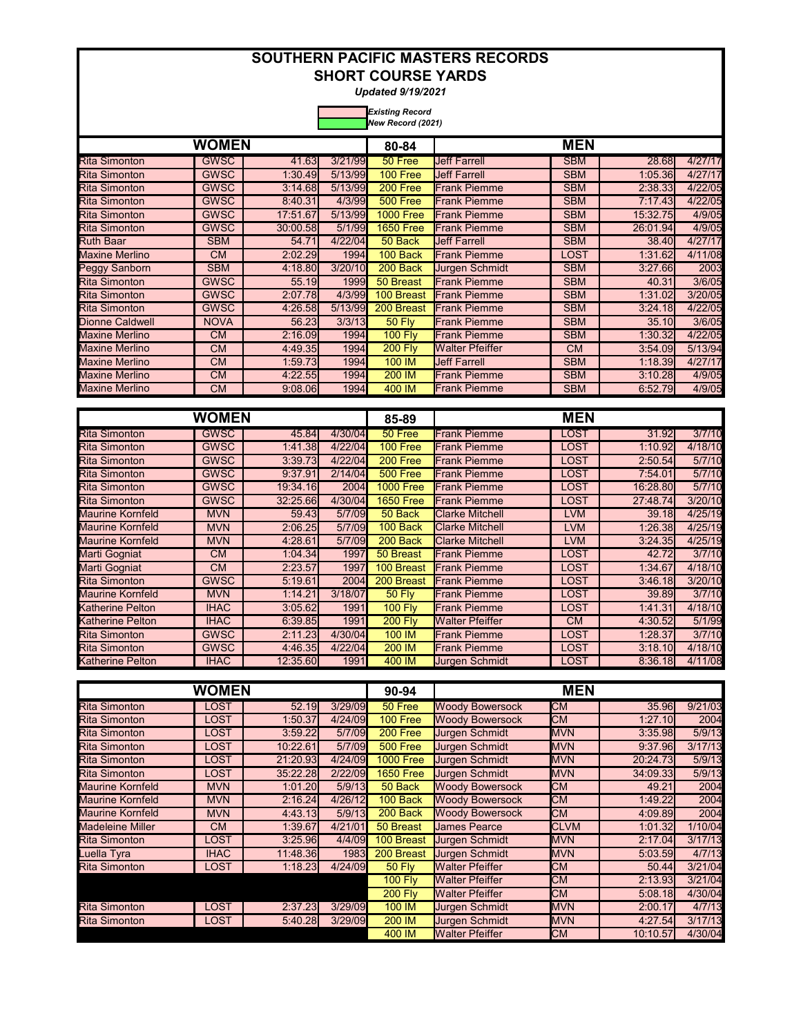*Updated 9/19/2021* 

| New Record (2021)      |             |          |         |                  |                        |            |          |         |
|------------------------|-------------|----------|---------|------------------|------------------------|------------|----------|---------|
| <b>WOMEN</b>           |             |          |         | 80-84            | <b>MEN</b>             |            |          |         |
| <b>Rita Simonton</b>   | <b>GWSC</b> | 41.63    | 3/21/99 | 50 Free          | <b>Jeff Farrell</b>    | <b>SBM</b> | 28.68    | 4/27/17 |
| <b>Rita Simonton</b>   | <b>GWSC</b> | 1:30.49  | 5/13/99 | 100 Free         | <b>Jeff Farrell</b>    | <b>SBM</b> | 1:05.36  | 4/27/17 |
| <b>Rita Simonton</b>   | <b>GWSC</b> | 3:14.68  | 5/13/99 | 200 Free         | <b>Frank Piemme</b>    | <b>SBM</b> | 2:38.33  | 4/22/05 |
| <b>Rita Simonton</b>   | <b>GWSC</b> | 8:40.31  | 4/3/99  | 500 Free         | <b>Frank Piemme</b>    | <b>SBM</b> | 7:17.43  | 4/22/05 |
| <b>Rita Simonton</b>   | <b>GWSC</b> | 17:51.67 | 5/13/99 | <b>1000 Free</b> | <b>Frank Piemme</b>    | <b>SBM</b> | 15:32.75 | 4/9/05  |
| <b>Rita Simonton</b>   | <b>GWSC</b> | 30:00.58 | 5/1/99  | <b>1650 Free</b> | <b>Frank Piemme</b>    | <b>SBM</b> | 26:01.94 | 4/9/05  |
| <b>Ruth Baar</b>       | <b>SBM</b>  | 54.71    | 4/22/04 | 50 Back          | <b>Jeff Farrell</b>    | <b>SBM</b> | 38.40    | 4/27/17 |
| <b>Maxine Merlino</b>  | <b>CM</b>   | 2:02.29  | 1994    | 100 Back         | <b>Frank Piemme</b>    | LOST       | 1:31.62  | 4/11/08 |
| <b>Peggy Sanborn</b>   | <b>SBM</b>  | 4:18.80  | 3/20/10 | 200 Back         | <b>Jurgen Schmidt</b>  | <b>SBM</b> | 3:27.66  | 2003    |
| <b>Rita Simonton</b>   | <b>GWSC</b> | 55.19    | 1999    | 50 Breast        | <b>Frank Piemme</b>    | <b>SBM</b> | 40.31    | 3/6/05  |
| <b>Rita Simonton</b>   | <b>GWSC</b> | 2:07.78  | 4/3/99  | 100 Breast       | <b>Frank Piemme</b>    | <b>SBM</b> | 1:31.02  | 3/20/05 |
| <b>Rita Simonton</b>   | <b>GWSC</b> | 4:26.58  | 5/13/99 | 200 Breast       | <b>Frank Piemme</b>    | <b>SBM</b> | 3:24.18  | 4/22/05 |
| <b>Dionne Caldwell</b> | <b>NOVA</b> | 56.23    | 3/3/13  | <b>50 Fly</b>    | <b>Frank Piemme</b>    | <b>SBM</b> | 35.10    | 3/6/05  |
| <b>Maxine Merlino</b>  | <b>CM</b>   | 2:16.09  | 1994    | <b>100 Fly</b>   | <b>Frank Piemme</b>    | <b>SBM</b> | 1:30.32  | 4/22/05 |
| <b>Maxine Merlino</b>  | <b>CM</b>   | 4:49.35  | 1994    | <b>200 Fly</b>   | <b>Walter Pfeiffer</b> | <b>CM</b>  | 3:54.09  | 5/13/94 |
| <b>Maxine Merlino</b>  | <b>CM</b>   | 1:59.73  | 1994    | 100 IM           | <b>Jeff Farrell</b>    | <b>SBM</b> | 1:18.39  | 4/27/17 |
| <b>Maxine Merlino</b>  | <b>CM</b>   | 4:22.55  | 1994    | <b>200 IM</b>    | <b>Frank Piemme</b>    | <b>SBM</b> | 3:10.28  | 4/9/05  |
| <b>Maxine Merlino</b>  | <b>CM</b>   | 9:08.06  | 1994    | 400 IM           | <b>Frank Piemme</b>    | <b>SBM</b> | 6:52.79  | 4/9/05  |

| WOMEN                   |             |          |         | 85-89            | <b>MEN</b>             |            |          |         |
|-------------------------|-------------|----------|---------|------------------|------------------------|------------|----------|---------|
| <b>Rita Simonton</b>    | <b>GWSC</b> | 45.84    | 4/30/04 | 50 Free          | <b>Frank Piemme</b>    | LOST       | 31.92    | 3/7/10  |
| <b>Rita Simonton</b>    | <b>GWSC</b> | 1:41.38  | 4/22/04 | 100 Free         | <b>Frank Piemme</b>    | LOST       | 1:10.92  | 4/18/10 |
| <b>Rita Simonton</b>    | <b>GWSC</b> | 3:39.73  | 4/22/04 | 200 Free         | <b>Frank Piemme</b>    | LOST       | 2:50.54  | 5/7/10  |
| <b>Rita Simonton</b>    | <b>GWSC</b> | 9:37.91  | 2/14/04 | 500 Free         | <b>Frank Piemme</b>    | LOST       | 7:54.01  | 5/7/10  |
| <b>Rita Simonton</b>    | <b>GWSC</b> | 19:34.16 | 2004    | <b>1000 Free</b> | <b>Frank Piemme</b>    | LOST       | 16:28.80 | 5/7/10  |
| <b>Rita Simonton</b>    | <b>GWSC</b> | 32:25.66 | 4/30/04 | <b>1650 Free</b> | <b>Frank Piemme</b>    | LOST       | 27:48.74 | 3/20/10 |
| <b>Maurine Kornfeld</b> | <b>MVN</b>  | 59.43    | 5/7/09  | 50 Back          | <b>Clarke Mitchell</b> | <b>LVM</b> | 39.18    | 4/25/19 |
| <b>Maurine Kornfeld</b> | <b>MVN</b>  | 2:06.25  | 5/7/09  | 100 Back         | <b>Clarke Mitchell</b> | <b>LVM</b> | 1:26.38  | 4/25/19 |
| <b>Maurine Kornfeld</b> | <b>MVN</b>  | 4:28.61  | 5/7/09  | 200 Back         | <b>Clarke Mitchell</b> | <b>LVM</b> | 3:24.35  | 4/25/19 |
| Marti Gogniat           | CM.         | 1:04.34  | 1997    | 50 Breast        | <b>Frank Piemme</b>    | LOST       | 42.72    | 3/7/10  |
| Marti Gogniat           | <b>CM</b>   | 2:23.57  | 1997    | 100 Breast       | <b>Frank Piemme</b>    | LOST       | 1:34.67  | 4/18/10 |
| <b>Rita Simonton</b>    | <b>GWSC</b> | 5:19.61  | 2004    | 200 Breast       | <b>Frank Piemme</b>    | LOST       | 3:46.18  | 3/20/10 |
| <b>Maurine Kornfeld</b> | <b>MVN</b>  | 1:14.21  | 3/18/07 | <b>50 Flv</b>    | <b>Frank Piemme</b>    | LOST       | 39.89    | 3/7/10  |
| <b>Katherine Pelton</b> | <b>IHAC</b> | 3:05.62  | 1991    | <b>100 Flv</b>   | <b>Frank Piemme</b>    | LOST       | 1:41.31  | 4/18/10 |
| <b>Katherine Pelton</b> | <b>IHAC</b> | 6:39.85  | 1991    | <b>200 Fly</b>   | <b>Walter Pfeiffer</b> | <b>CM</b>  | 4:30.52  | 5/1/99  |
| <b>Rita Simonton</b>    | <b>GWSC</b> | 2:11.23  | 4/30/04 | 100 IM           | <b>Frank Piemme</b>    | LOST       | 1:28.37  | 3/7/10  |
| <b>Rita Simonton</b>    | <b>GWSC</b> | 4:46.35  | 4/22/04 | 200 IM           | <b>Frank Piemme</b>    | LOST       | 3:18.10  | 4/18/10 |
| <b>Katherine Pelton</b> | <b>IHAC</b> | 12:35.60 | 1991    | 400 IM           | <b>Jurgen Schmidt</b>  | LOST       | 8:36.18  | 4/11/08 |

| <b>WOMEN</b>            |             |          |         | 90-94            | <b>MEN</b>             |             |          |         |
|-------------------------|-------------|----------|---------|------------------|------------------------|-------------|----------|---------|
| <b>Rita Simonton</b>    | LOST        | 52.19    | 3/29/09 | 50 Free          | <b>Woody Bowersock</b> | <b>CM</b>   | 35.96    | 9/21/03 |
| <b>Rita Simonton</b>    | <b>LOST</b> | 1:50.37  | 4/24/09 | 100 Free         | <b>Woody Bowersock</b> | <b>CM</b>   | 1:27.10  | 2004    |
| <b>Rita Simonton</b>    | <b>LOST</b> | 3:59.22  | 5/7/09  | 200 Free         | <b>Jurgen Schmidt</b>  | <b>MVN</b>  | 3:35.98  | 5/9/13  |
| <b>Rita Simonton</b>    | <b>LOST</b> | 10:22.61 | 5/7/09  | 500 Free         | <b>Jurgen Schmidt</b>  | <b>MVN</b>  | 9:37.96  | 3/17/13 |
| <b>Rita Simonton</b>    | <b>LOST</b> | 21:20.93 | 4/24/09 | <b>1000 Free</b> | <b>Jurgen Schmidt</b>  | <b>MVN</b>  | 20:24.73 | 5/9/13  |
| <b>Rita Simonton</b>    | LOST        | 35:22.28 | 2/22/09 | <b>1650 Free</b> | <b>Jurgen Schmidt</b>  | <b>MVN</b>  | 34:09.33 | 5/9/13  |
| Maurine Kornfeld        | <b>MVN</b>  | 1:01.20  | 5/9/13  | 50 Back          | <b>Woody Bowersock</b> | <b>CM</b>   | 49.21    | 2004    |
| <b>Maurine Kornfeld</b> | <b>MVN</b>  | 2:16.24  | 4/26/12 | 100 Back         | <b>Woody Bowersock</b> | <b>CM</b>   | 1:49.22  | 2004    |
| Maurine Kornfeld        | <b>MVN</b>  | 4:43.13  | 5/9/13  | 200 Back         | <b>Woody Bowersock</b> | <b>CM</b>   | 4:09.89  | 2004    |
| Madeleine Miller        | <b>CM</b>   | 1:39.67  | 4/21/01 | 50 Breast        | <b>James Pearce</b>    | <b>CLVM</b> | 1:01.32  | 1/10/04 |
| <b>Rita Simonton</b>    | <b>LOST</b> | 3:25.96  | 4/4/09  | 100 Breast       | <b>Jurgen Schmidt</b>  | <b>MVN</b>  | 2:17.04  | 3/17/13 |
| Luella Tyra             | <b>IHAC</b> | 11:48.36 | 1983    | 200 Breast       | <b>Jurgen Schmidt</b>  | <b>MVN</b>  | 5:03.59  | 4/7/13  |
| <b>Rita Simonton</b>    | <b>LOST</b> | 1:18.23  | 4/24/09 | <b>50 Fly</b>    | <b>Walter Pfeiffer</b> | <b>CM</b>   | 50.44    | 3/21/04 |
|                         |             |          |         | <b>100 Fly</b>   | <b>Walter Pfeiffer</b> | <b>CM</b>   | 2:13.93  | 3/21/04 |
|                         |             |          |         | <b>200 Fly</b>   | <b>Walter Pfeiffer</b> | <b>CM</b>   | 5:08.18  | 4/30/04 |
| <b>Rita Simonton</b>    | LOST        | 2:37.23  | 3/29/09 | 100 IM           | <b>Jurgen Schmidt</b>  | <b>MVN</b>  | 2:00.17  | 4/7/13  |
| <b>Rita Simonton</b>    | LOST        | 5:40.28  | 3/29/09 | 200 IM           | <b>Jurgen Schmidt</b>  | <b>MVN</b>  | 4:27.54  | 3/17/13 |
|                         |             |          |         | 400 IM           | <b>Walter Pfeiffer</b> | <b>CM</b>   | 10:10.57 | 4/30/04 |